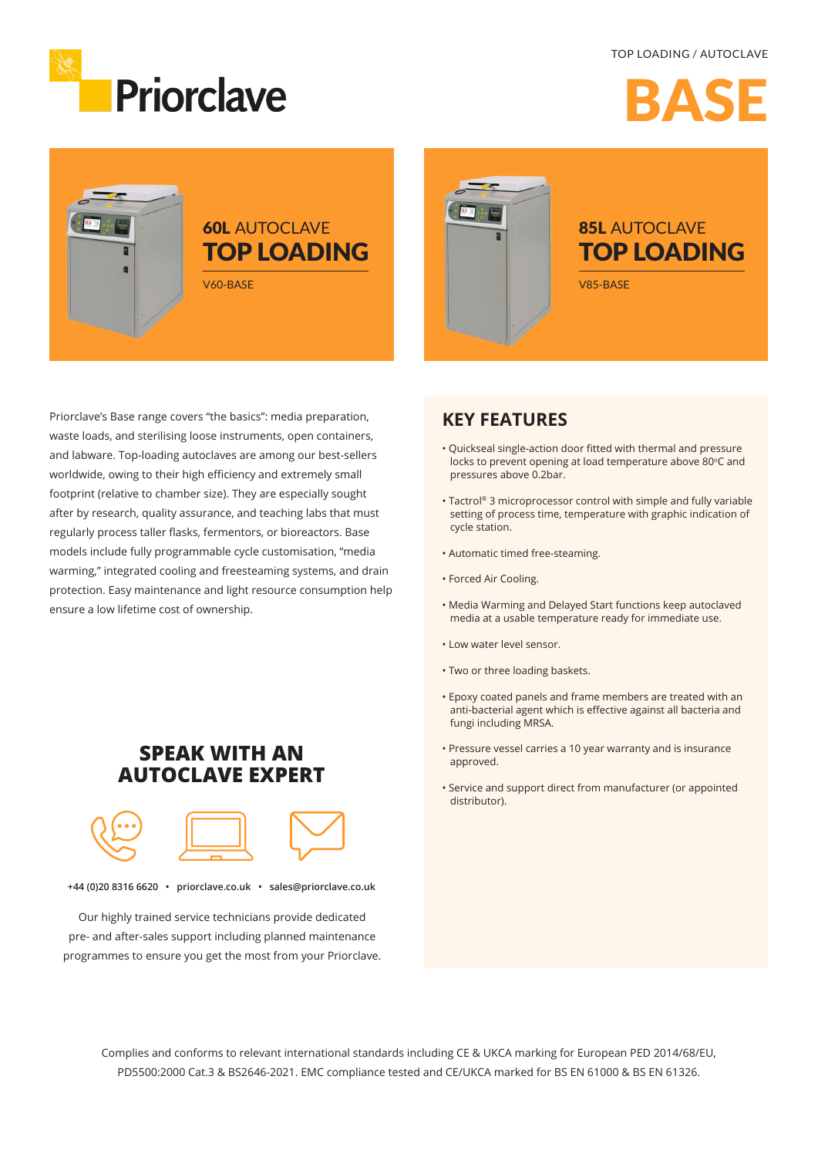#### TOP LOADING / AUTOCLAVE



RAC

# E





Priorclave's Base range covers "the basics": media preparation, waste loads, and sterilising loose instruments, open containers, and labware. Top-loading autoclaves are among our best-sellers worldwide, owing to their high efficiency and extremely small footprint (relative to chamber size). They are especially sought after by research, quality assurance, and teaching labs that must regularly process taller flasks, fermentors, or bioreactors. Base models include fully programmable cycle customisation, "media warming," integrated cooling and freesteaming systems, and drain protection. Easy maintenance and light resource consumption help ensure a low lifetime cost of ownership.

### **KEY FEATURES**

- Quickseal single-action door fitted with thermal and pressure locks to prevent opening at load temperature above 80°C and pressures above 0.2bar.
- Tactrol® 3 microprocessor control with simple and fully variable setting of process time, temperature with graphic indication of cycle station.
- Automatic timed free-steaming.
- Forced Air Cooling.
- Media Warming and Delayed Start functions keep autoclaved media at a usable temperature ready for immediate use.
- Low water level sensor.
- Two or three loading baskets.
- Epoxy coated panels and frame members are treated with an anti-bacterial agent which is effective against all bacteria and fungi including MRSA.
- Pressure vessel carries a 10 year warranty and is insurance approved.
- Service and support direct from manufacturer (or appointed distributor).

## **SPEAK WITH AN AUTOCLAVE EXPERT**



**+44 (0)20 8316 6620 • priorclave.co.uk • sales@priorclave.co.uk**

Our highly trained service technicians provide dedicated pre- and after-sales support including planned maintenance programmes to ensure you get the most from your Priorclave.

> Complies and conforms to relevant international standards including CE & UKCA marking for European PED 2014/68/EU, PD5500:2000 Cat.3 & BS2646-2021. EMC compliance tested and CE/UKCA marked for BS EN 61000 & BS EN 61326.